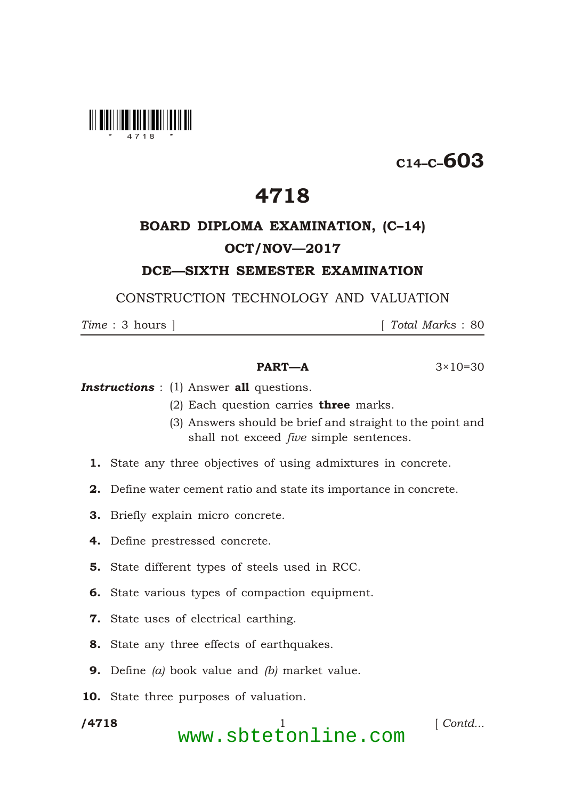

# $C_{14-C}$ –603

# 4718

## BOARD DIPLOMA EXAMINATION, (C–14) OCT/NOV—2017

### DCE—SIXTH SEMESTER EXAMINATION

CONSTRUCTION TECHNOLOGY AND VALUATION

*Time* : 3 hours ] [ *Total Marks* : 80

#### **PART—A**  $3 \times 10 = 30$

**Instructions** : (1) Answer all questions.

- (2) Each question carries **three** marks.
- (3) Answers should be brief and straight to the point and shall not exceed *five* simple sentences.
- 1. State any three objectives of using admixtures in concrete.
- 2. Define water cement ratio and state its importance in concrete.
- 3. Briefly explain micro concrete.
- 4. Define prestressed concrete.
- 5. State different types of steels used in RCC.
- 6. State various types of compaction equipment.
- 7. State uses of electrical earthing.
- 8. State any three effects of earthquakes.
- 9. Define *(a)* book value and *(b)* market value.
- 10. State three purposes of valuation.

/4718

\*

/4718 1 [ *Contd...* www.sbtetonline.com